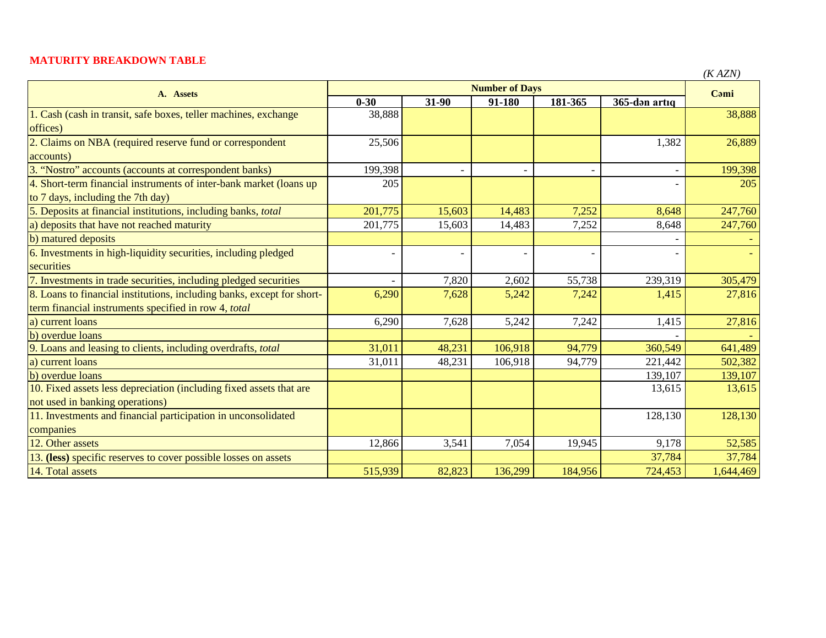## **MATURITY BREAKDOWN TABLE**

| $\mathbf{v}$ | ١ZN<br>)<br>┍ |
|--------------|---------------|
|--------------|---------------|

| A. Assets                                                              | <b>Number of Days</b> |                          |         |         |                          | (11.724)  |
|------------------------------------------------------------------------|-----------------------|--------------------------|---------|---------|--------------------------|-----------|
|                                                                        | $0 - 30$              | 31-90                    | 91-180  | 181-365 | 365-dən artıq            | Cami      |
| 1. Cash (cash in transit, safe boxes, teller machines, exchange        | 38,888                |                          |         |         |                          | 38,888    |
| offices)                                                               |                       |                          |         |         |                          |           |
| 2. Claims on NBA (required reserve fund or correspondent               | 25,506                |                          |         |         | 1,382                    | 26,889    |
| accounts)                                                              |                       |                          |         |         |                          |           |
| 3. "Nostro" accounts (accounts at correspondent banks)                 | 199,398               | $\blacksquare$           |         |         | $\overline{\phantom{0}}$ | 199,398   |
| 4. Short-term financial instruments of inter-bank market (loans up     | 205                   |                          |         |         |                          | 205       |
| to 7 days, including the 7th day)                                      |                       |                          |         |         |                          |           |
| 5. Deposits at financial institutions, including banks, total          | 201,775               | 15,603                   | 14,483  | 7,252   | 8,648                    | 247,760   |
| a) deposits that have not reached maturity                             | 201,775               | 15,603                   | 14,483  | 7,252   | 8,648                    | 247,760   |
| b) matured deposits                                                    |                       |                          |         |         |                          |           |
| 6. Investments in high-liquidity securities, including pledged         |                       | $\overline{\phantom{0}}$ |         |         |                          |           |
| securities                                                             |                       |                          |         |         |                          |           |
| 7. Investments in trade securities, including pledged securities       |                       | 7,820                    | 2,602   | 55,738  | 239,319                  | 305,479   |
| 8. Loans to financial institutions, including banks, except for short- | 6,290                 | 7,628                    | 5,242   | 7,242   | 1,415                    | 27,816    |
| term financial instruments specified in row 4, total                   |                       |                          |         |         |                          |           |
| a) current loans                                                       | 6,290                 | 7,628                    | 5,242   | 7,242   | 1,415                    | 27,816    |
| b) overdue loans                                                       |                       |                          |         |         |                          |           |
| 9. Loans and leasing to clients, including overdrafts, total           | 31,011                | 48,231                   | 106,918 | 94,779  | 360,549                  | 641,489   |
| a) current loans                                                       | 31,011                | 48,231                   | 106,918 | 94,779  | 221,442                  | 502,382   |
| b) overdue loans                                                       |                       |                          |         |         | 139,107                  | 139,107   |
| 10. Fixed assets less depreciation (including fixed assets that are    |                       |                          |         |         | 13,615                   | 13,615    |
| not used in banking operations)                                        |                       |                          |         |         |                          |           |
| 11. Investments and financial participation in unconsolidated          |                       |                          |         |         | 128,130                  | 128,130   |
| companies                                                              |                       |                          |         |         |                          |           |
| 12. Other assets                                                       | 12,866                | 3,541                    | 7,054   | 19,945  | 9,178                    | 52,585    |
| 13. (less) specific reserves to cover possible losses on assets        |                       |                          |         |         | 37,784                   | 37,784    |
| 14. Total assets                                                       | 515,939               | 82,823                   | 136,299 | 184,956 | 724,453                  | 1,644,469 |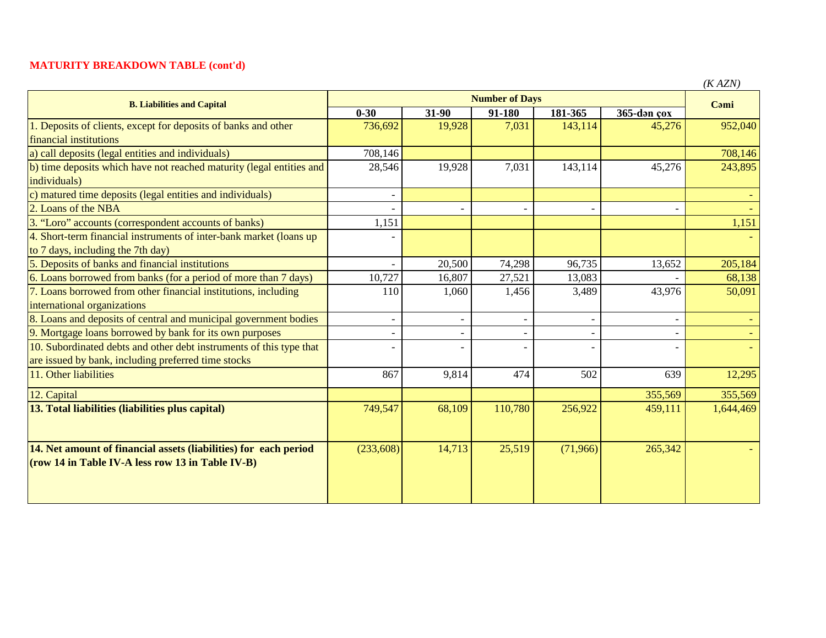## **MATURITY BREAKDOWN TABLE (cont'd)**

| <b>B. Liabilities and Capital</b>                                    | <b>Number of Days</b> |                          |            |          |             | (IVALIV)<br>Cami |
|----------------------------------------------------------------------|-----------------------|--------------------------|------------|----------|-------------|------------------|
|                                                                      | $0 - 30$              | 31-90                    | $91 - 180$ | 181-365  | 365-dən çox |                  |
| 1. Deposits of clients, except for deposits of banks and other       | 736,692               | 19,928                   | 7,031      | 143,114  | 45,276      | 952,040          |
| financial institutions                                               |                       |                          |            |          |             |                  |
| a) call deposits (legal entities and individuals)                    | 708,146               |                          |            |          |             | 708,146          |
| b) time deposits which have not reached maturity (legal entities and | 28,546                | 19,928                   | 7,031      | 143,114  | 45,276      | 243,895          |
| individuals)                                                         |                       |                          |            |          |             |                  |
| c) matured time deposits (legal entities and individuals)            |                       |                          |            |          |             |                  |
| 2. Loans of the NBA                                                  |                       |                          |            |          |             |                  |
| 3. "Loro" accounts (correspondent accounts of banks)                 | 1,151                 |                          |            |          |             | 1,151            |
| 4. Short-term financial instruments of inter-bank market (loans up)  |                       |                          |            |          |             |                  |
| to 7 days, including the 7th day)                                    |                       |                          |            |          |             |                  |
| 5. Deposits of banks and financial institutions                      |                       | 20,500                   | 74,298     | 96,735   | 13,652      | 205,184          |
| 6. Loans borrowed from banks (for a period of more than 7 days)      | 10,727                | 16,807                   | 27,521     | 13,083   |             | 68,138           |
| 7. Loans borrowed from other financial institutions, including       | 110                   | 1,060                    | 1,456      | 3,489    | 43,976      | 50,091           |
| international organizations                                          |                       |                          |            |          |             |                  |
| 8. Loans and deposits of central and municipal government bodies     |                       | $\overline{\phantom{a}}$ |            |          |             |                  |
| 9. Mortgage loans borrowed by bank for its own purposes              |                       |                          |            |          |             |                  |
| 10. Subordinated debts and other debt instruments of this type that  |                       |                          |            |          |             |                  |
| are issued by bank, including preferred time stocks                  |                       |                          |            |          |             |                  |
| 11. Other liabilities                                                | 867                   | 9,814                    | 474        | 502      | 639         | 12,295           |
| 12. Capital                                                          |                       |                          |            |          | 355,569     | 355,569          |
| 13. Total liabilities (liabilities plus capital)                     | 749,547               | 68,109                   | 110,780    | 256,922  | 459,111     | 1,644,469        |
|                                                                      |                       |                          |            |          |             |                  |
|                                                                      |                       |                          |            |          |             |                  |
| 14. Net amount of financial assets (liabilities) for each period     | (233, 608)            | 14,713                   | 25,519     | (71,966) | 265,342     |                  |
| (row 14 in Table IV-A less row 13 in Table IV-B)                     |                       |                          |            |          |             |                  |
|                                                                      |                       |                          |            |          |             |                  |
|                                                                      |                       |                          |            |          |             |                  |

*(K AZN)*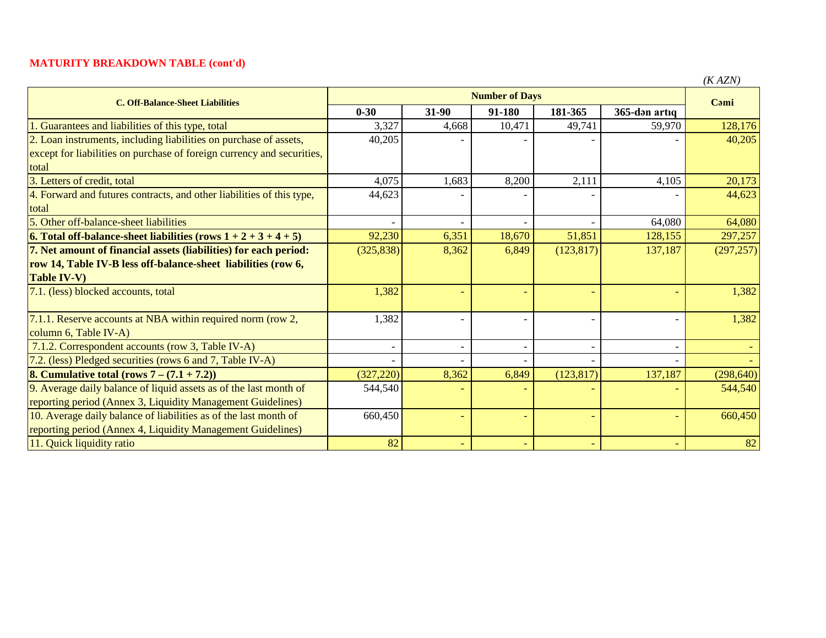## **MATURITY BREAKDOWN TABLE (cont'd)**

|                                                                        |                       |                          |        |            |               | (KAZN)     |
|------------------------------------------------------------------------|-----------------------|--------------------------|--------|------------|---------------|------------|
| <b>C. Off-Balance-Sheet Liabilities</b>                                | <b>Number of Days</b> |                          |        |            |               |            |
|                                                                        | $0 - 30$              | 31-90                    | 91-180 | 181-365    | 365-dən artıq | Cami       |
| 1. Guarantees and liabilities of this type, total                      | 3,327                 | 4,668                    | 10,471 | 49,741     | 59,970        | 128,176    |
| 2. Loan instruments, including liabilities on purchase of assets,      | 40,205                |                          |        |            |               | 40,205     |
| except for liabilities on purchase of foreign currency and securities, |                       |                          |        |            |               |            |
| total                                                                  |                       |                          |        |            |               |            |
| 3. Letters of credit, total                                            | 4,075                 | 1,683                    | 8,200  | 2,111      | 4,105         | 20,173     |
| 4. Forward and futures contracts, and other liabilities of this type,  | 44,623                |                          |        |            |               | 44,623     |
| total                                                                  |                       |                          |        |            |               |            |
| 5. Other off-balance-sheet liabilities                                 |                       |                          |        |            | 64,080        | 64,080     |
| 6. Total off-balance-sheet liabilities (rows $1 + 2 + 3 + 4 + 5$ )     | 92,230                | 6,351                    | 18,670 | 51,851     | 128,155       | 297,257    |
| 7. Net amount of financial assets (liabilities) for each period:       | (325, 838)            | 8,362                    | 6,849  | (123, 817) | 137,187       | (297, 257) |
| row 14, Table IV-B less off-balance-sheet liabilities (row 6,          |                       |                          |        |            |               |            |
| <b>Table IV-V)</b>                                                     |                       |                          |        |            |               |            |
| 7.1. (less) blocked accounts, total                                    | 1,382                 |                          |        |            |               | 1,382      |
|                                                                        |                       |                          |        |            |               |            |
| 7.1.1. Reserve accounts at NBA within required norm (row 2,            | 1,382                 |                          |        |            |               | 1,382      |
| column 6, Table IV-A)                                                  |                       |                          |        |            |               |            |
| 7.1.2. Correspondent accounts (row 3, Table IV-A)                      |                       | $\overline{\phantom{a}}$ |        |            |               |            |
| 7.2. (less) Pledged securities (rows 6 and 7, Table IV-A)              |                       |                          |        |            |               |            |
| <b>8. Cumulative total (rows 7 – <math>(7.1 + 7.2)</math>)</b>         | (327, 220)            | 8,362                    | 6,849  | (123, 817) | 137,187       | (298, 640) |
| 9. Average daily balance of liquid assets as of the last month of      | 544,540               |                          |        |            |               | 544,540    |
| reporting period (Annex 3, Liquidity Management Guidelines)            |                       |                          |        |            |               |            |
| 10. Average daily balance of liabilities as of the last month of       | 660,450               | $\equiv$                 |        |            |               | 660,450    |
| reporting period (Annex 4, Liquidity Management Guidelines)            |                       |                          |        |            |               |            |
| 11. Ouick liquidity ratio                                              | 82                    |                          |        |            |               | 82         |